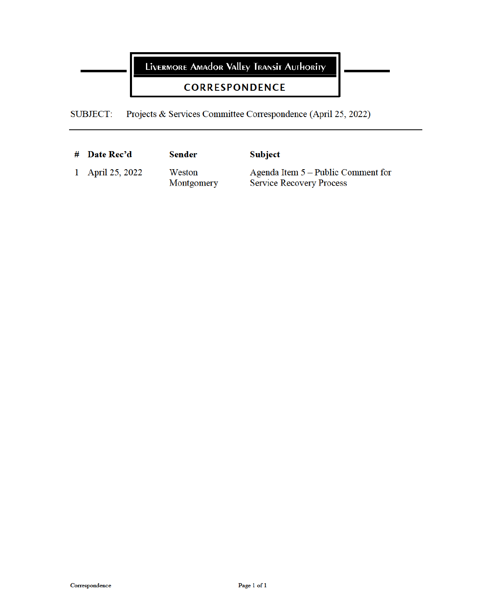LIVERMORE AMAdOR VAlley TRANSIT AUTHORITY

## **CORRESPONDENCE**

Projects & Services Committee Correspondence (April 25, 2022) **SUBJECT:** 

| $\#$ Date Rec'd  | <b>Sender</b>        | <b>Subject</b>                                                          |
|------------------|----------------------|-------------------------------------------------------------------------|
| 1 April 25, 2022 | Weston<br>Montgomery | Agenda Item $5 -$ Public Comment for<br><b>Service Recovery Process</b> |